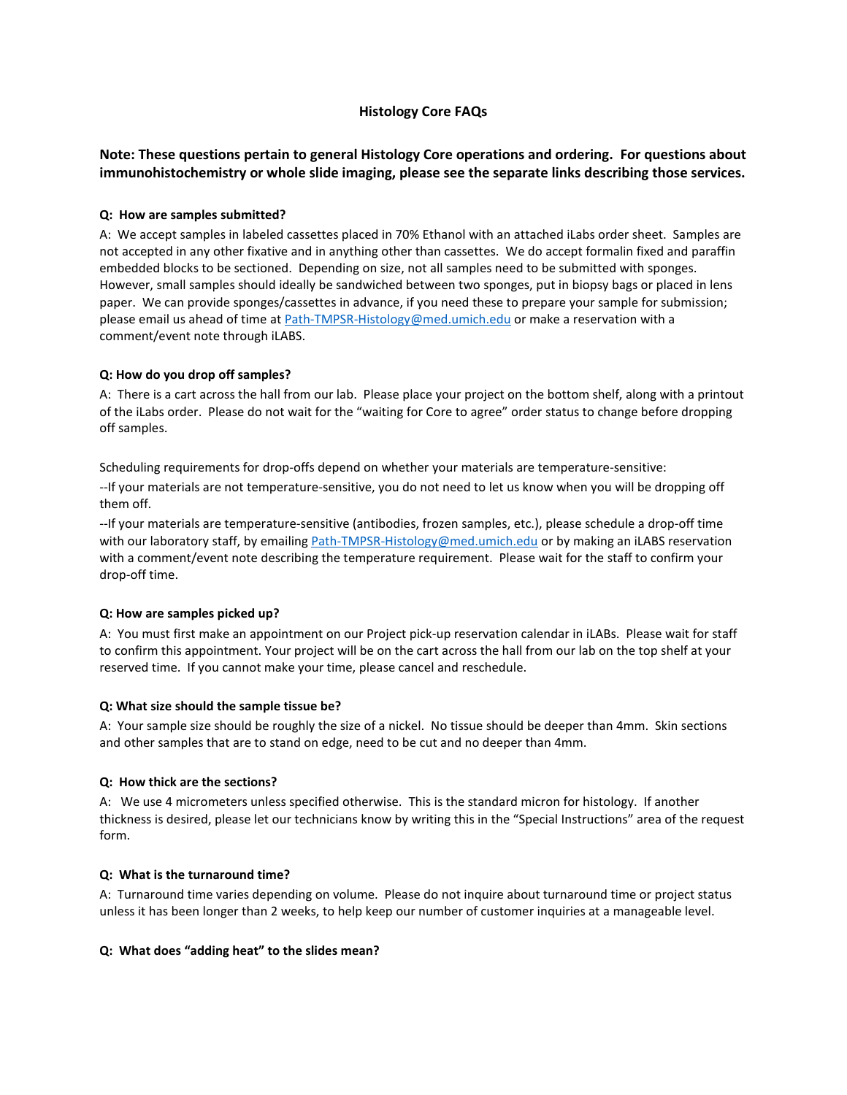# **Histology Core FAQs**

# **Note: These questions pertain to general Histology Core operations and ordering. For questions about immunohistochemistry or whole slide imaging, please see the separate links describing those services.**

### **Q: How are samples submitted?**

A: We accept samples in labeled cassettes placed in 70% Ethanol with an attached iLabs order sheet. Samples are not accepted in any other fixative and in anything other than cassettes. We do accept formalin fixed and paraffin embedded blocks to be sectioned. Depending on size, not all samples need to be submitted with sponges. However, small samples should ideally be sandwiched between two sponges, put in biopsy bags or placed in lens paper. We can provide sponges/cassettes in advance, if you need these to prepare your sample for submission; please email us ahead of time a[t Path-TMPSR-Histology@med.umich.edu](mailto:Path-TMPSR-Histology@med.umich.edu) or make a reservation with a comment/event note through iLABS.

### **Q: How do you drop off samples?**

A: There is a cart across the hall from our lab. Please place your project on the bottom shelf, along with a printout of the iLabs order. Please do not wait for the "waiting for Core to agree" order status to change before dropping off samples.

Scheduling requirements for drop-offs depend on whether your materials are temperature-sensitive:

--If your materials are not temperature-sensitive, you do not need to let us know when you will be dropping off them off.

--If your materials are temperature-sensitive (antibodies, frozen samples, etc.), please schedule a drop-off time with our laboratory staff, by emailing [Path-TMPSR-Histology@med.umich.edu](mailto:Path-TMPSR-Histology@med.umich.edu) or by making an iLABS reservation with a comment/event note describing the temperature requirement. Please wait for the staff to confirm your drop-off time.

#### **Q: How are samples picked up?**

A: You must first make an appointment on our Project pick-up reservation calendar in iLABs. Please wait for staff to confirm this appointment. Your project will be on the cart across the hall from our lab on the top shelf at your reserved time. If you cannot make your time, please cancel and reschedule.

#### **Q: What size should the sample tissue be?**

A: Your sample size should be roughly the size of a nickel. No tissue should be deeper than 4mm. Skin sections and other samples that are to stand on edge, need to be cut and no deeper than 4mm.

#### **Q: How thick are the sections?**

A: We use 4 micrometers unless specified otherwise. This is the standard micron for histology. If another thickness is desired, please let our technicians know by writing this in the "Special Instructions" area of the request form.

#### **Q: What is the turnaround time?**

A: Turnaround time varies depending on volume. Please do not inquire about turnaround time or project status unless it has been longer than 2 weeks, to help keep our number of customer inquiries at a manageable level.

#### **Q: What does "adding heat" to the slides mean?**